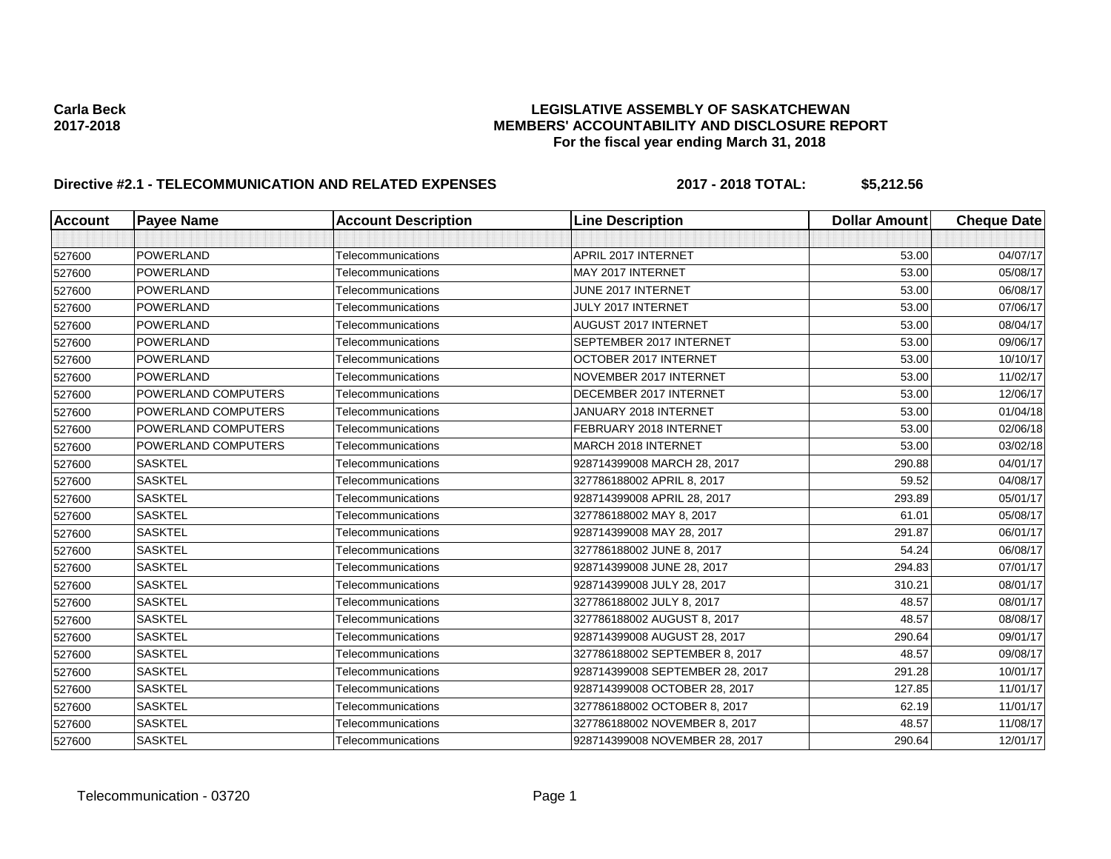## **Carla Beck LEGISLATIVE ASSEMBLY OF SASKATCHEWAN 2017-2018 MEMBERS' ACCOUNTABILITY AND DISCLOSURE REPORT For the fiscal year ending March 31, 2018**

# **Directive #2.1 - TELECOMMUNICATION AND RELATED EXPENSES 2017 - 2018 TOTAL: \$5,212.56**

| <b>Account</b> | <b>Payee Name</b>          | <b>Account Description</b> | <b>Line Description</b>         | <b>Dollar Amount</b> | <b>Cheque Date</b> |
|----------------|----------------------------|----------------------------|---------------------------------|----------------------|--------------------|
|                |                            |                            |                                 |                      |                    |
| 527600         | POWERLAND                  | Telecommunications         | <b>APRIL 2017 INTERNET</b>      | 53.00                | 04/07/17           |
| 527600         | POWERLAND                  | Telecommunications         | MAY 2017 INTERNET               | 53.00                | 05/08/17           |
| 527600         | <b>POWERLAND</b>           | Telecommunications         | JUNE 2017 INTERNET              | 53.00                | 06/08/17           |
| 527600         | POWERLAND                  | Telecommunications         | JULY 2017 INTERNET              | 53.00                | 07/06/17           |
| 527600         | POWERLAND                  | Telecommunications         | AUGUST 2017 INTERNET            | 53.00                | 08/04/17           |
| 527600         | POWERLAND                  | Telecommunications         | SEPTEMBER 2017 INTERNET         | 53.00                | 09/06/17           |
| 527600         | POWERLAND                  | Telecommunications         | OCTOBER 2017 INTERNET           | 53.00                | 10/10/17           |
| 527600         | POWERLAND                  | Telecommunications         | NOVEMBER 2017 INTERNET          | 53.00                | 11/02/17           |
| 527600         | POWERLAND COMPUTERS        | Telecommunications         | DECEMBER 2017 INTERNET          | 53.00                | 12/06/17           |
| 527600         | <b>POWERLAND COMPUTERS</b> | Telecommunications         | JANUARY 2018 INTERNET           | 53.00                | 01/04/18           |
| 527600         | <b>POWERLAND COMPUTERS</b> | Telecommunications         | FEBRUARY 2018 INTERNET          | 53.00                | 02/06/18           |
| 527600         | <b>POWERLAND COMPUTERS</b> | Telecommunications         | MARCH 2018 INTERNET             | 53.00                | 03/02/18           |
| 527600         | <b>SASKTEL</b>             | Telecommunications         | 928714399008 MARCH 28, 2017     | 290.88               | 04/01/17           |
| 527600         | <b>SASKTEL</b>             | Telecommunications         | 327786188002 APRIL 8, 2017      | 59.52                | 04/08/17           |
| 527600         | <b>SASKTEL</b>             | Telecommunications         | 928714399008 APRIL 28, 2017     | 293.89               | 05/01/17           |
| 527600         | <b>SASKTEL</b>             | Telecommunications         | 327786188002 MAY 8, 2017        | 61.01                | 05/08/17           |
| 527600         | <b>SASKTEL</b>             | Telecommunications         | 928714399008 MAY 28, 2017       | 291.87               | 06/01/17           |
| 527600         | <b>SASKTEL</b>             | Telecommunications         | 327786188002 JUNE 8, 2017       | 54.24                | 06/08/17           |
| 527600         | <b>SASKTEL</b>             | Telecommunications         | 928714399008 JUNE 28, 2017      | 294.83               | 07/01/17           |
| 527600         | <b>SASKTEL</b>             | Telecommunications         | 928714399008 JULY 28, 2017      | 310.21               | 08/01/17           |
| 527600         | <b>SASKTEL</b>             | Telecommunications         | 327786188002 JULY 8, 2017       | 48.57                | 08/01/17           |
| 527600         | <b>SASKTEL</b>             | Telecommunications         | 327786188002 AUGUST 8, 2017     | 48.57                | 08/08/17           |
| 527600         | <b>SASKTEL</b>             | Telecommunications         | 928714399008 AUGUST 28, 2017    | 290.64               | 09/01/17           |
| 527600         | <b>SASKTEL</b>             | Telecommunications         | 327786188002 SEPTEMBER 8, 2017  | 48.57                | 09/08/17           |
| 527600         | <b>SASKTEL</b>             | Telecommunications         | 928714399008 SEPTEMBER 28, 2017 | 291.28               | 10/01/17           |
| 527600         | <b>SASKTEL</b>             | Telecommunications         | 928714399008 OCTOBER 28, 2017   | 127.85               | 11/01/17           |
| 527600         | <b>SASKTEL</b>             | Telecommunications         | 327786188002 OCTOBER 8, 2017    | 62.19                | 11/01/17           |
| 527600         | <b>SASKTEL</b>             | Telecommunications         | 327786188002 NOVEMBER 8, 2017   | 48.57                | 11/08/17           |
| 527600         | <b>SASKTEL</b>             | Telecommunications         | 928714399008 NOVEMBER 28, 2017  | 290.64               | 12/01/17           |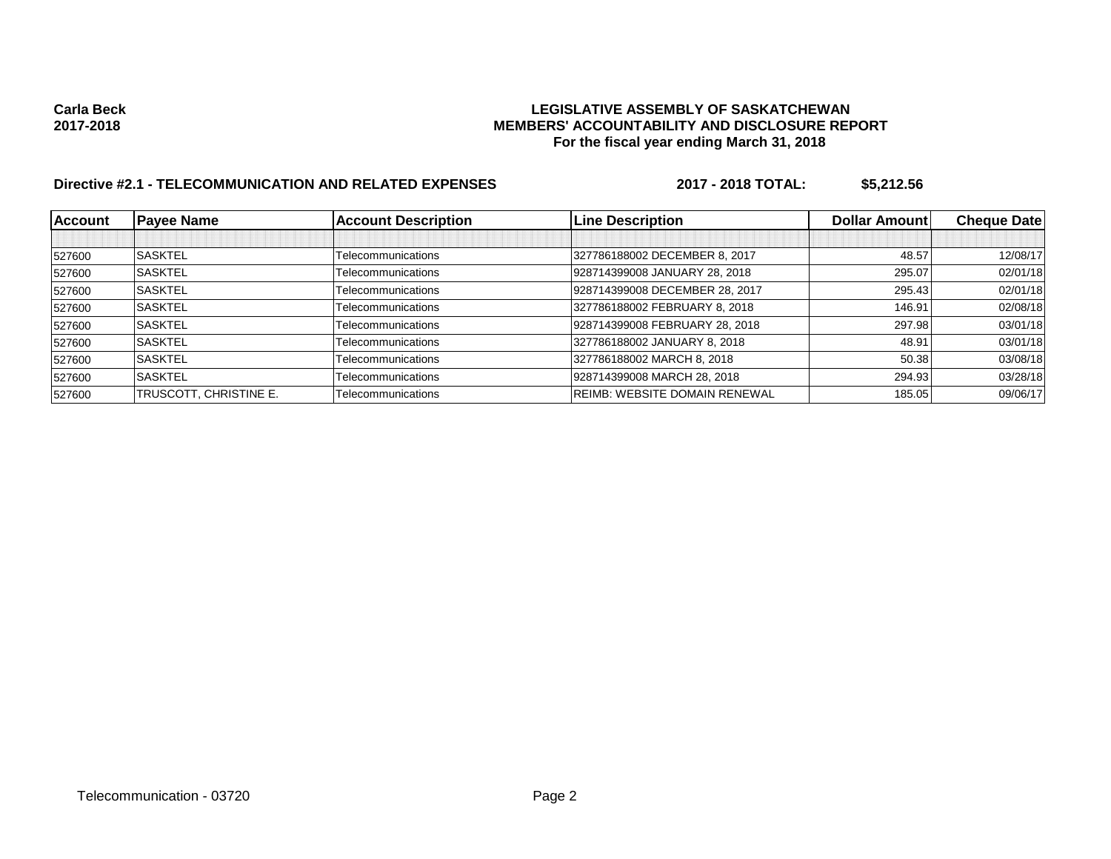## **Carla Beck LEGISLATIVE ASSEMBLY OF SASKATCHEWAN 2017-2018 MEMBERS' ACCOUNTABILITY AND DISCLOSURE REPORT For the fiscal year ending March 31, 2018**

# **Directive #2.1 - TELECOMMUNICATION AND RELATED EXPENSES 2017 - 2018 TOTAL: \$5,212.56**

| <b>Account</b> | <b>Payee Name</b>      | <b>Account Description</b> | <b>Line Description</b>              | <b>Dollar Amountl</b> | <b>Cheque Date</b> |
|----------------|------------------------|----------------------------|--------------------------------------|-----------------------|--------------------|
|                |                        |                            |                                      |                       |                    |
| 527600         | <b>SASKTEL</b>         | Telecommunications         | 327786188002 DECEMBER 8, 2017        | 48.57                 | 12/08/17           |
| 527600         | <b>SASKTEL</b>         | Telecommunications         | 928714399008 JANUARY 28, 2018        | 295.07                | 02/01/18           |
| 527600         | <b>SASKTEL</b>         | Telecommunications         | 928714399008 DECEMBER 28, 2017       | 295.43                | 02/01/18           |
| 527600         | <b>SASKTEL</b>         | Telecommunications         | 327786188002 FEBRUARY 8, 2018        | 146.91                | 02/08/18           |
| 527600         | <b>SASKTEL</b>         | Telecommunications         | 928714399008 FEBRUARY 28, 2018       | 297.98                | 03/01/18           |
| 527600         | <b>SASKTEL</b>         | Telecommunications         | 327786188002 JANUARY 8, 2018         | 48.91                 | 03/01/18           |
| 527600         | <b>SASKTEL</b>         | Telecommunications         | 327786188002 MARCH 8, 2018           | 50.38                 | 03/08/18           |
| 527600         | <b>SASKTEL</b>         | Telecommunications         | 928714399008 MARCH 28, 2018          | 294.93                | 03/28/18           |
| 527600         | TRUSCOTT. CHRISTINE E. | Telecommunications         | <b>REIMB: WEBSITE DOMAIN RENEWAL</b> | 185.05                | 09/06/17           |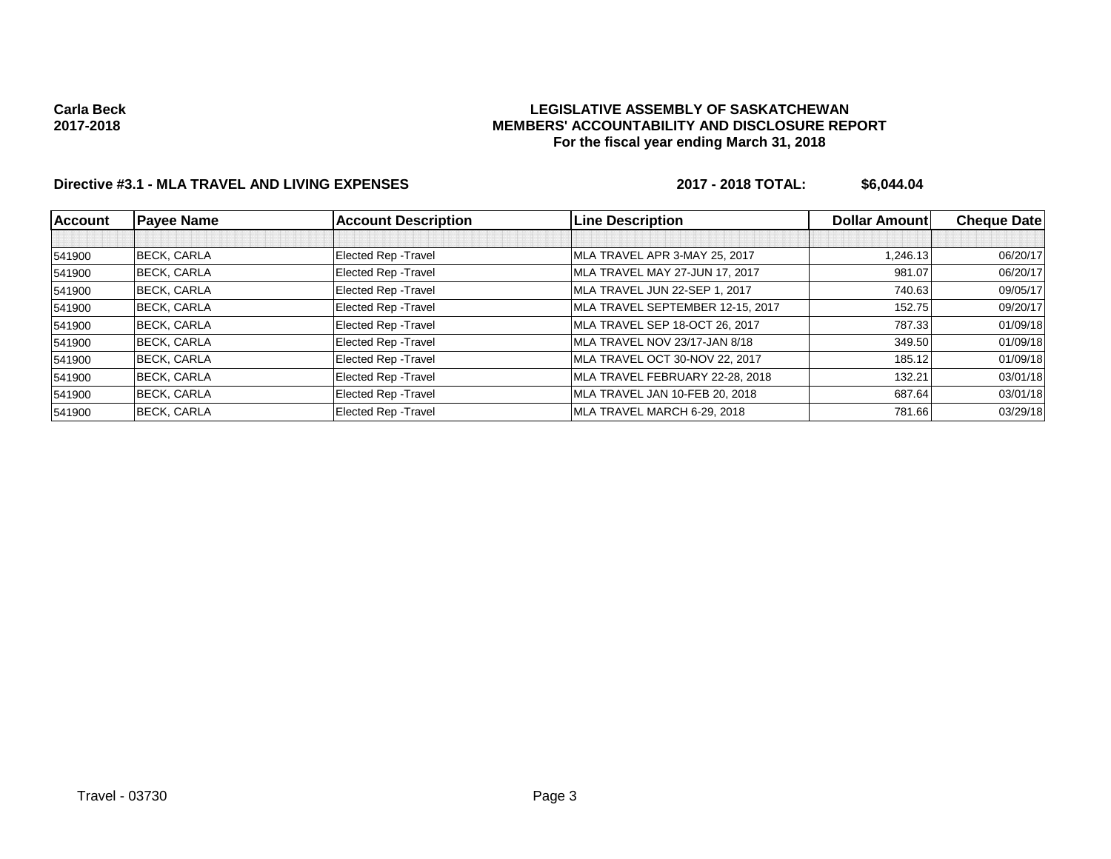## **LEGISLATIVE ASSEMBLY OF SASKATCHEWAN MEMBERS' ACCOUNTABILITY AND DISCLOSURE REPORT For the fiscal year ending March 31, 2018**

## **Directive #3.1 - MLA TRAVEL AND LIVING EXPENSES 2017 - 2018 TOTAL: \$6,044.04**

| <b>Account</b> | <b>Payee Name</b>  | <b>Account Description</b> | <b>Line Description</b>          | <b>Dollar Amountl</b> | <b>Cheque Date</b> |
|----------------|--------------------|----------------------------|----------------------------------|-----------------------|--------------------|
|                |                    |                            |                                  |                       |                    |
| 541900         | <b>BECK, CARLA</b> | Elected Rep - Travel       | MLA TRAVEL APR 3-MAY 25, 2017    | 1.246.13              | 06/20/17           |
| 541900         | <b>BECK, CARLA</b> | Elected Rep - Travel       | MLA TRAVEL MAY 27-JUN 17, 2017   | 981.07                | 06/20/17           |
| 541900         | <b>BECK, CARLA</b> | Elected Rep - Travel       | MLA TRAVEL JUN 22-SEP 1, 2017    | 740.63                | 09/05/17           |
| 541900         | <b>BECK, CARLA</b> | Elected Rep - Travel       | MLA TRAVEL SEPTEMBER 12-15, 2017 | 152.75                | 09/20/17           |
| 541900         | <b>BECK, CARLA</b> | Elected Rep - Travel       | MLA TRAVEL SEP 18-OCT 26, 2017   | 787.33                | 01/09/18           |
| 541900         | <b>BECK, CARLA</b> | Elected Rep - Travel       | MLA TRAVEL NOV 23/17-JAN 8/18    | 349.50                | 01/09/18           |
| 541900         | <b>BECK, CARLA</b> | Elected Rep - Travel       | MLA TRAVEL OCT 30-NOV 22, 2017   | 185.12                | 01/09/18           |
| 541900         | <b>BECK, CARLA</b> | Elected Rep - Travel       | MLA TRAVEL FEBRUARY 22-28, 2018  | 132.21                | 03/01/18           |
| 541900         | <b>BECK, CARLA</b> | Elected Rep - Travel       | MLA TRAVEL JAN 10-FEB 20, 2018   | 687.64                | 03/01/18           |
| 541900         | <b>BECK, CARLA</b> | Elected Rep - Travel       | MLA TRAVEL MARCH 6-29, 2018      | 781.66                | 03/29/18           |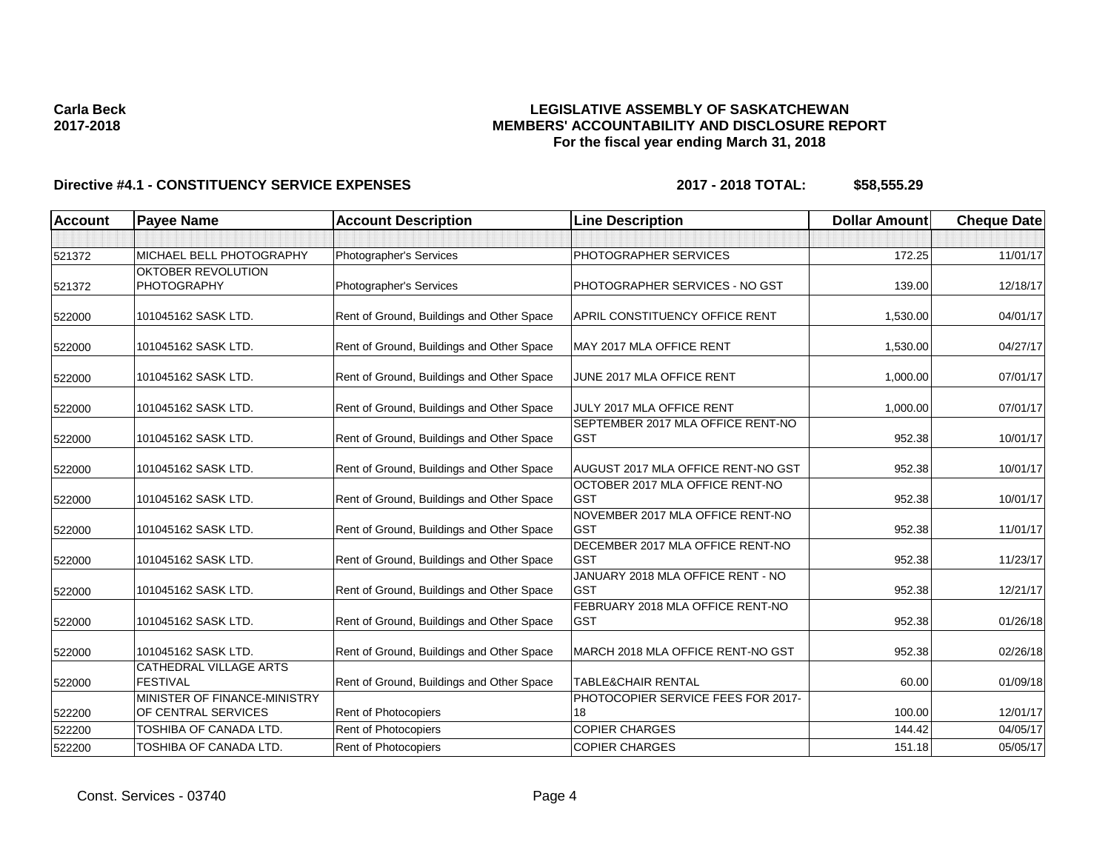## **LEGISLATIVE ASSEMBLY OF SASKATCHEWAN MEMBERS' ACCOUNTABILITY AND DISCLOSURE REPORT For the fiscal year ending March 31, 2018**

| <b>Account</b> | <b>Payee Name</b>                                   | <b>Account Description</b>                | <b>Line Description</b>                          | <b>Dollar Amount</b> | <b>Cheque Date</b> |
|----------------|-----------------------------------------------------|-------------------------------------------|--------------------------------------------------|----------------------|--------------------|
|                |                                                     |                                           |                                                  |                      |                    |
| 521372         | MICHAEL BELL PHOTOGRAPHY                            | Photographer's Services                   | PHOTOGRAPHER SERVICES                            | 172.25               | 11/01/17           |
| 521372         | OKTOBER REVOLUTION<br>PHOTOGRAPHY                   | Photographer's Services                   | PHOTOGRAPHER SERVICES - NO GST                   | 139.00               | 12/18/17           |
| 522000         | 101045162 SASK LTD.                                 | Rent of Ground, Buildings and Other Space | <b>APRIL CONSTITUENCY OFFICE RENT</b>            | 1,530.00             | 04/01/17           |
| 522000         | 101045162 SASK LTD.                                 | Rent of Ground, Buildings and Other Space | MAY 2017 MLA OFFICE RENT                         | 1,530.00             | 04/27/17           |
| 522000         | 101045162 SASK LTD.                                 | Rent of Ground, Buildings and Other Space | JUNE 2017 MLA OFFICE RENT                        | 1,000.00             | 07/01/17           |
| 522000         | 101045162 SASK LTD.                                 | Rent of Ground, Buildings and Other Space | JULY 2017 MLA OFFICE RENT                        | 1,000.00             | 07/01/17           |
| 522000         | 101045162 SASK LTD.                                 | Rent of Ground, Buildings and Other Space | SEPTEMBER 2017 MLA OFFICE RENT-NO<br><b>GST</b>  | 952.38               | 10/01/17           |
| 522000         | 101045162 SASK LTD.                                 | Rent of Ground, Buildings and Other Space | AUGUST 2017 MLA OFFICE RENT-NO GST               | 952.38               | 10/01/17           |
| 522000         | 101045162 SASK LTD.                                 | Rent of Ground, Buildings and Other Space | OCTOBER 2017 MLA OFFICE RENT-NO<br><b>GST</b>    | 952.38               | 10/01/17           |
| 522000         | 101045162 SASK LTD.                                 | Rent of Ground, Buildings and Other Space | NOVEMBER 2017 MLA OFFICE RENT-NO<br><b>IGST</b>  | 952.38               | 11/01/17           |
| 522000         | 101045162 SASK LTD.                                 | Rent of Ground, Buildings and Other Space | DECEMBER 2017 MLA OFFICE RENT-NO<br><b>IGST</b>  | 952.38               | 11/23/17           |
| 522000         | 101045162 SASK LTD.                                 | Rent of Ground, Buildings and Other Space | JANUARY 2018 MLA OFFICE RENT - NO<br><b>IGST</b> | 952.38               | 12/21/17           |
| 522000         | 101045162 SASK LTD.                                 | Rent of Ground, Buildings and Other Space | FEBRUARY 2018 MLA OFFICE RENT-NO<br><b>GST</b>   | 952.38               | 01/26/18           |
| 522000         | 101045162 SASK LTD.                                 | Rent of Ground, Buildings and Other Space | MARCH 2018 MLA OFFICE RENT-NO GST                | 952.38               | 02/26/18           |
| 522000         | CATHEDRAL VILLAGE ARTS<br><b>FESTIVAL</b>           | Rent of Ground, Buildings and Other Space | <b>TABLE&amp;CHAIR RENTAL</b>                    | 60.00                | 01/09/18           |
| 522200         | MINISTER OF FINANCE-MINISTRY<br>OF CENTRAL SERVICES | Rent of Photocopiers                      | PHOTOCOPIER SERVICE FEES FOR 2017-<br>18         | 100.00               | 12/01/17           |
| 522200         | TOSHIBA OF CANADA LTD.                              | Rent of Photocopiers                      | <b>COPIER CHARGES</b>                            | 144.42               | 04/05/17           |
| 522200         | TOSHIBA OF CANADA LTD.                              | Rent of Photocopiers                      | <b>COPIER CHARGES</b>                            | 151.18               | 05/05/17           |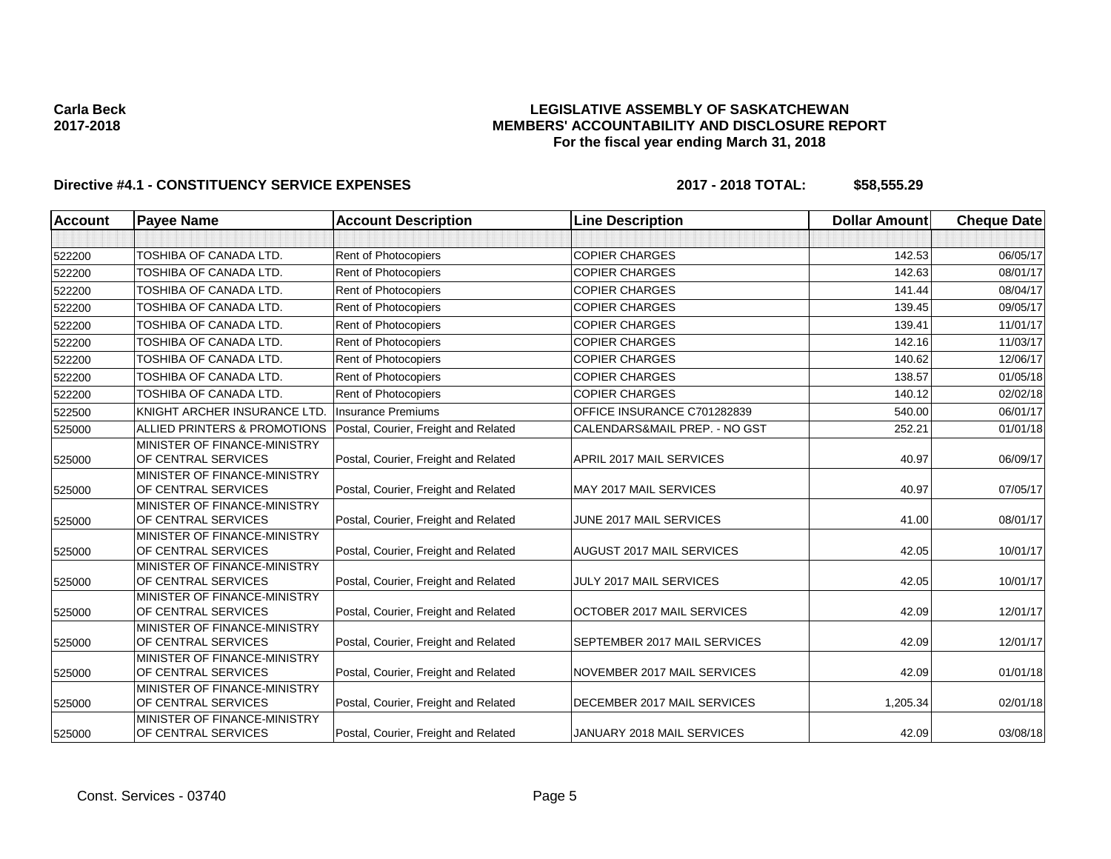## **LEGISLATIVE ASSEMBLY OF SASKATCHEWAN MEMBERS' ACCOUNTABILITY AND DISCLOSURE REPORT For the fiscal year ending March 31, 2018**

| <b>Account</b> | <b>Payee Name</b>                                   | <b>Account Description</b>           | <b>Line Description</b>       | <b>Dollar Amount</b> | <b>Cheque Date</b> |
|----------------|-----------------------------------------------------|--------------------------------------|-------------------------------|----------------------|--------------------|
|                |                                                     |                                      |                               |                      |                    |
| 522200         | TOSHIBA OF CANADA LTD.                              | Rent of Photocopiers                 | <b>COPIER CHARGES</b>         | 142.53               | 06/05/17           |
| 522200         | <b>TOSHIBA OF CANADA LTD.</b>                       | Rent of Photocopiers                 | <b>COPIER CHARGES</b>         | 142.63               | 08/01/17           |
| 522200         | TOSHIBA OF CANADA LTD.                              | Rent of Photocopiers                 | <b>COPIER CHARGES</b>         | 141.44               | 08/04/17           |
| 522200         | TOSHIBA OF CANADA LTD.                              | Rent of Photocopiers                 | <b>COPIER CHARGES</b>         | 139.45               | 09/05/17           |
| 522200         | TOSHIBA OF CANADA LTD.                              | Rent of Photocopiers                 | <b>COPIER CHARGES</b>         | 139.41               | 11/01/17           |
| 522200         | TOSHIBA OF CANADA LTD.                              | Rent of Photocopiers                 | <b>COPIER CHARGES</b>         | 142.16               | 11/03/17           |
| 522200         | <b>TOSHIBA OF CANADA LTD.</b>                       | Rent of Photocopiers                 | <b>COPIER CHARGES</b>         | 140.62               | 12/06/17           |
| 522200         | TOSHIBA OF CANADA LTD.                              | Rent of Photocopiers                 | <b>COPIER CHARGES</b>         | 138.57               | 01/05/18           |
| 522200         | TOSHIBA OF CANADA LTD.                              | Rent of Photocopiers                 | <b>COPIER CHARGES</b>         | 140.12               | 02/02/18           |
| 522500         | KNIGHT ARCHER INSURANCE LTD.                        | <b>Insurance Premiums</b>            | OFFICE INSURANCE C701282839   | 540.00               | 06/01/17           |
| 525000         | ALLIED PRINTERS & PROMOTIONS                        | Postal, Courier, Freight and Related | CALENDARS&MAIL PREP. - NO GST | 252.21               | 01/01/18           |
| 525000         | MINISTER OF FINANCE-MINISTRY<br>OF CENTRAL SERVICES | Postal, Courier, Freight and Related | APRIL 2017 MAIL SERVICES      | 40.97                | 06/09/17           |
| 525000         | MINISTER OF FINANCE-MINISTRY<br>OF CENTRAL SERVICES | Postal, Courier, Freight and Related | MAY 2017 MAIL SERVICES        | 40.97                | 07/05/17           |
| 525000         | MINISTER OF FINANCE-MINISTRY<br>OF CENTRAL SERVICES | Postal, Courier, Freight and Related | JUNE 2017 MAIL SERVICES       | 41.00                | 08/01/17           |
| 525000         | MINISTER OF FINANCE-MINISTRY<br>OF CENTRAL SERVICES | Postal, Courier, Freight and Related | AUGUST 2017 MAIL SERVICES     | 42.05                | 10/01/17           |
| 525000         | MINISTER OF FINANCE-MINISTRY<br>OF CENTRAL SERVICES | Postal, Courier, Freight and Related | JULY 2017 MAIL SERVICES       | 42.05                | 10/01/17           |
| 525000         | MINISTER OF FINANCE-MINISTRY<br>OF CENTRAL SERVICES | Postal, Courier, Freight and Related | OCTOBER 2017 MAIL SERVICES    | 42.09                | 12/01/17           |
| 525000         | MINISTER OF FINANCE-MINISTRY<br>OF CENTRAL SERVICES | Postal, Courier, Freight and Related | SEPTEMBER 2017 MAIL SERVICES  | 42.09                | 12/01/17           |
| 525000         | MINISTER OF FINANCE-MINISTRY<br>OF CENTRAL SERVICES | Postal, Courier, Freight and Related | NOVEMBER 2017 MAIL SERVICES   | 42.09                | 01/01/18           |
| 525000         | MINISTER OF FINANCE-MINISTRY<br>OF CENTRAL SERVICES | Postal, Courier, Freight and Related | DECEMBER 2017 MAIL SERVICES   | 1,205.34             | 02/01/18           |
| 525000         | MINISTER OF FINANCE-MINISTRY<br>OF CENTRAL SERVICES | Postal, Courier, Freight and Related | JANUARY 2018 MAIL SERVICES    | 42.09                | 03/08/18           |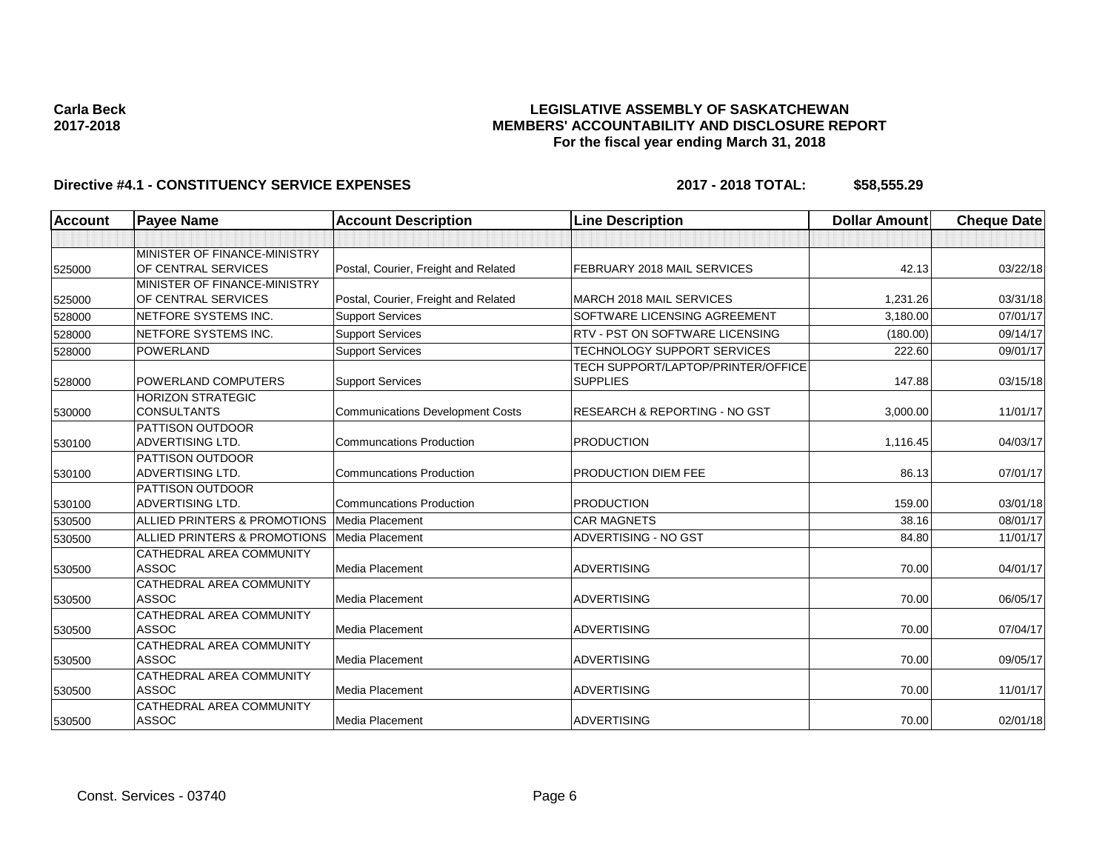## **LEGISLATIVE ASSEMBLY OF SASKATCHEWAN MEMBERS' ACCOUNTABILITY AND DISCLOSURE REPORT For the fiscal year ending March 31, 2018**

| <b>Account</b> | <b>Payee Name</b>                                          | <b>Account Description</b>              | <b>Line Description</b>                               | <b>Dollar Amount</b> | <b>Cheque Date</b> |
|----------------|------------------------------------------------------------|-----------------------------------------|-------------------------------------------------------|----------------------|--------------------|
|                |                                                            |                                         |                                                       |                      |                    |
| 525000         | <b>MINISTER OF FINANCE-MINISTRY</b><br>OF CENTRAL SERVICES | Postal, Courier, Freight and Related    | FEBRUARY 2018 MAIL SERVICES                           | 42.13                | 03/22/18           |
| 525000         | MINISTER OF FINANCE-MINISTRY<br>OF CENTRAL SERVICES        | Postal, Courier, Freight and Related    | MARCH 2018 MAIL SERVICES                              | 1,231.26             | 03/31/18           |
| 528000         | NETFORE SYSTEMS INC.                                       | <b>Support Services</b>                 | SOFTWARE LICENSING AGREEMENT                          | 3,180.00             | 07/01/17           |
| 528000         | NETFORE SYSTEMS INC.                                       | <b>Support Services</b>                 | RTV - PST ON SOFTWARE LICENSING                       | (180.00)             | 09/14/17           |
| 528000         | <b>POWERLAND</b>                                           | <b>Support Services</b>                 | <b>TECHNOLOGY SUPPORT SERVICES</b>                    | 222.60               | 09/01/17           |
| 528000         | POWERLAND COMPUTERS                                        | <b>Support Services</b>                 | TECH SUPPORT/LAPTOP/PRINTER/OFFICE<br><b>SUPPLIES</b> | 147.88               | 03/15/18           |
| 530000         | <b>HORIZON STRATEGIC</b><br><b>CONSULTANTS</b>             | <b>Communications Development Costs</b> | <b>RESEARCH &amp; REPORTING - NO GST</b>              | 3,000.00             | 11/01/17           |
| 530100         | PATTISON OUTDOOR<br>ADVERTISING LTD.                       | <b>Communcations Production</b>         | <b>PRODUCTION</b>                                     | 1,116.45             | 04/03/17           |
| 530100         | PATTISON OUTDOOR<br>ADVERTISING LTD.                       | <b>Communcations Production</b>         | PRODUCTION DIEM FEE                                   | 86.13                | 07/01/17           |
| 530100         | PATTISON OUTDOOR<br>ADVERTISING LTD.                       | <b>Communcations Production</b>         | <b>PRODUCTION</b>                                     | 159.00               | 03/01/18           |
| 530500         | ALLIED PRINTERS & PROMOTIONS                               | <b>Media Placement</b>                  | <b>CAR MAGNETS</b>                                    | 38.16                | 08/01/17           |
| 530500         | ALLIED PRINTERS & PROMOTIONS                               | Media Placement                         | ADVERTISING - NO GST                                  | 84.80                | 11/01/17           |
| 530500         | CATHEDRAL AREA COMMUNITY<br><b>ASSOC</b>                   | <b>Media Placement</b>                  | <b>ADVERTISING</b>                                    | 70.00                | 04/01/17           |
| 530500         | CATHEDRAL AREA COMMUNITY<br><b>ASSOC</b>                   | Media Placement                         | <b>ADVERTISING</b>                                    | 70.00                | 06/05/17           |
| 530500         | CATHEDRAL AREA COMMUNITY<br><b>ASSOC</b>                   | <b>Media Placement</b>                  | <b>ADVERTISING</b>                                    | 70.00                | 07/04/17           |
| 530500         | CATHEDRAL AREA COMMUNITY<br><b>ASSOC</b>                   | Media Placement                         | <b>ADVERTISING</b>                                    | 70.00                | 09/05/17           |
| 530500         | CATHEDRAL AREA COMMUNITY<br><b>ASSOC</b>                   | <b>Media Placement</b>                  | <b>ADVERTISING</b>                                    | 70.00                | 11/01/17           |
| 530500         | CATHEDRAL AREA COMMUNITY<br><b>ASSOC</b>                   | <b>Media Placement</b>                  | <b>ADVERTISING</b>                                    | 70.00                | 02/01/18           |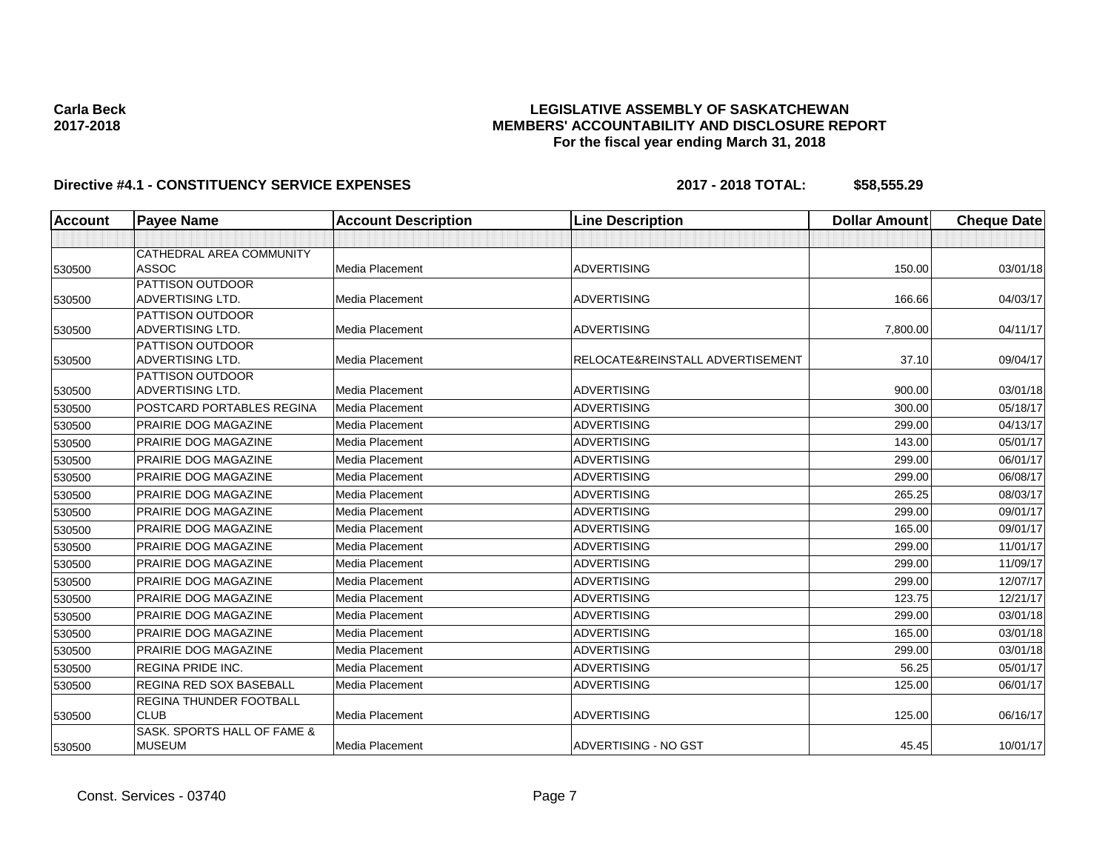## **LEGISLATIVE ASSEMBLY OF SASKATCHEWAN MEMBERS' ACCOUNTABILITY AND DISCLOSURE REPORT For the fiscal year ending March 31, 2018**

| <b>Account</b> | <b>Payee Name</b>                            | <b>Account Description</b> | <b>Line Description</b>          | <b>Dollar Amount</b> | <b>Cheque Date</b> |
|----------------|----------------------------------------------|----------------------------|----------------------------------|----------------------|--------------------|
|                |                                              |                            |                                  |                      |                    |
|                | CATHEDRAL AREA COMMUNITY                     |                            |                                  |                      |                    |
| 530500         | <b>ASSOC</b>                                 | <b>Media Placement</b>     | <b>ADVERTISING</b>               | 150.00               | 03/01/18           |
|                | PATTISON OUTDOOR                             |                            |                                  |                      |                    |
| 530500         | <b>ADVERTISING LTD.</b>                      | Media Placement            | <b>ADVERTISING</b>               | 166.66               | 04/03/17           |
|                | PATTISON OUTDOOR                             |                            |                                  |                      |                    |
| 530500         | <b>ADVERTISING LTD.</b>                      | Media Placement            | <b>ADVERTISING</b>               | 7,800.00             | 04/11/17           |
| 530500         | PATTISON OUTDOOR<br>ADVERTISING LTD.         | Media Placement            | RELOCATE&REINSTALL ADVERTISEMENT | 37.10                | 09/04/17           |
|                | PATTISON OUTDOOR                             |                            |                                  |                      |                    |
| 530500         | <b>ADVERTISING LTD.</b>                      | Media Placement            | <b>ADVERTISING</b>               | 900.00               | 03/01/18           |
| 530500         | POSTCARD PORTABLES REGINA                    | <b>Media Placement</b>     | <b>ADVERTISING</b>               | 300.00               | 05/18/17           |
| 530500         | PRAIRIE DOG MAGAZINE                         | Media Placement            | <b>ADVERTISING</b>               | 299.00               | 04/13/17           |
| 530500         | PRAIRIE DOG MAGAZINE                         | Media Placement            | <b>ADVERTISING</b>               | 143.00               | 05/01/17           |
| 530500         | PRAIRIE DOG MAGAZINE                         | Media Placement            | <b>ADVERTISING</b>               | 299.00               | 06/01/17           |
| 530500         | PRAIRIE DOG MAGAZINE                         | Media Placement            | <b>ADVERTISING</b>               | 299.00               | 06/08/17           |
| 530500         | PRAIRIE DOG MAGAZINE                         | Media Placement            | <b>ADVERTISING</b>               | 265.25               | 08/03/17           |
| 530500         | PRAIRIE DOG MAGAZINE                         | Media Placement            | <b>ADVERTISING</b>               | 299.00               | 09/01/17           |
| 530500         | PRAIRIE DOG MAGAZINE                         | Media Placement            | <b>ADVERTISING</b>               | 165.00               | 09/01/17           |
| 530500         | PRAIRIE DOG MAGAZINE                         | Media Placement            | <b>ADVERTISING</b>               | 299.00               | 11/01/17           |
| 530500         | PRAIRIE DOG MAGAZINE                         | <b>Media Placement</b>     | <b>ADVERTISING</b>               | 299.00               | 11/09/17           |
| 530500         | PRAIRIE DOG MAGAZINE                         | Media Placement            | <b>ADVERTISING</b>               | 299.00               | 12/07/17           |
| 530500         | PRAIRIE DOG MAGAZINE                         | Media Placement            | <b>ADVERTISING</b>               | 123.75               | 12/21/17           |
| 530500         | PRAIRIE DOG MAGAZINE                         | <b>Media Placement</b>     | <b>ADVERTISING</b>               | 299.00               | 03/01/18           |
| 530500         | PRAIRIE DOG MAGAZINE                         | Media Placement            | <b>ADVERTISING</b>               | 165.00               | 03/01/18           |
| 530500         | PRAIRIE DOG MAGAZINE                         | Media Placement            | <b>ADVERTISING</b>               | 299.00               | 03/01/18           |
| 530500         | <b>REGINA PRIDE INC.</b>                     | <b>Media Placement</b>     | <b>ADVERTISING</b>               | 56.25                | 05/01/17           |
| 530500         | REGINA RED SOX BASEBALL                      | Media Placement            | <b>ADVERTISING</b>               | 125.00               | 06/01/17           |
|                | <b>REGINA THUNDER FOOTBALL</b>               |                            |                                  |                      |                    |
| 530500         | <b>CLUB</b>                                  | <b>Media Placement</b>     | <b>ADVERTISING</b>               | 125.00               | 06/16/17           |
| 530500         | SASK, SPORTS HALL OF FAME &<br><b>MUSEUM</b> | Media Placement            | ADVERTISING - NO GST             | 45.45                | 10/01/17           |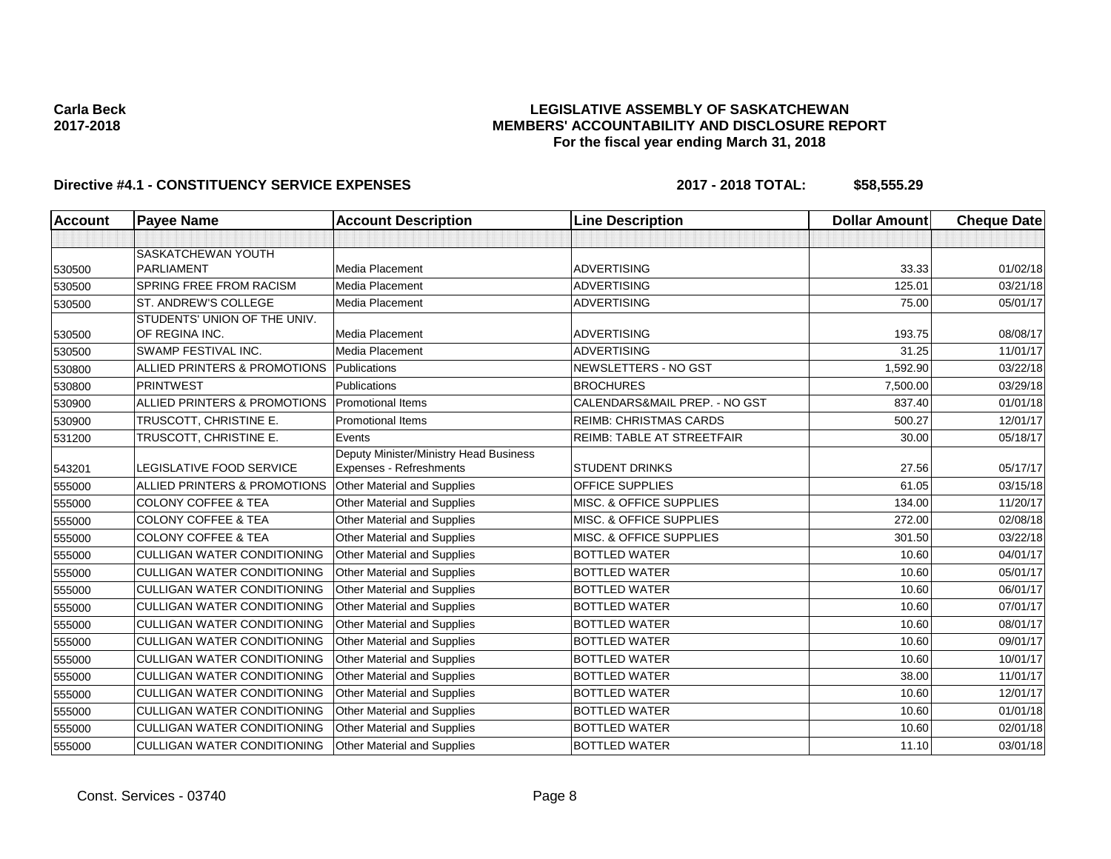## **LEGISLATIVE ASSEMBLY OF SASKATCHEWAN MEMBERS' ACCOUNTABILITY AND DISCLOSURE REPORT For the fiscal year ending March 31, 2018**

| <b>Account</b> | <b>Payee Name</b>                              | <b>Account Description</b>             | <b>Line Description</b>            | <b>Dollar Amount</b> | <b>Cheque Date</b> |
|----------------|------------------------------------------------|----------------------------------------|------------------------------------|----------------------|--------------------|
|                |                                                |                                        |                                    |                      |                    |
|                | <b>SASKATCHEWAN YOUTH</b>                      |                                        |                                    |                      |                    |
| 530500         | <b>PARLIAMENT</b>                              | <b>Media Placement</b>                 | <b>ADVERTISING</b>                 | 33.33                | 01/02/18           |
| 530500         | <b>SPRING FREE FROM RACISM</b>                 | Media Placement                        | <b>ADVERTISING</b>                 | 125.01               | 03/21/18           |
| 530500         | ST. ANDREW'S COLLEGE                           | <b>Media Placement</b>                 | <b>ADVERTISING</b>                 | 75.00                | 05/01/17           |
|                | STUDENTS' UNION OF THE UNIV.                   |                                        |                                    |                      |                    |
| 530500         | OF REGINA INC.                                 | Media Placement                        | <b>ADVERTISING</b>                 | 193.75               | 08/08/17           |
| 530500         | <b>SWAMP FESTIVAL INC.</b>                     | <b>Media Placement</b>                 | <b>ADVERTISING</b>                 | 31.25                | 11/01/17           |
| 530800         | ALLIED PRINTERS & PROMOTIONS                   | Publications                           | NEWSLETTERS - NO GST               | 1,592.90             | 03/22/18           |
| 530800         | <b>PRINTWEST</b>                               | Publications                           | <b>BROCHURES</b>                   | 7,500.00             | 03/29/18           |
| 530900         | ALLIED PRINTERS & PROMOTIONS Promotional Items |                                        | CALENDARS&MAIL PREP. - NO GST      | 837.40               | 01/01/18           |
| 530900         | TRUSCOTT, CHRISTINE E.                         | <b>Promotional Items</b>               | <b>REIMB: CHRISTMAS CARDS</b>      | 500.27               | 12/01/17           |
| 531200         | TRUSCOTT, CHRISTINE E.                         | Events                                 | REIMB: TABLE AT STREETFAIR         | 30.00                | 05/18/17           |
|                |                                                | Deputy Minister/Ministry Head Business |                                    |                      |                    |
| 543201         | LEGISLATIVE FOOD SERVICE                       | Expenses - Refreshments                | <b>STUDENT DRINKS</b>              | 27.56                | 05/17/17           |
| 555000         | ALLIED PRINTERS & PROMOTIONS                   | Other Material and Supplies            | <b>OFFICE SUPPLIES</b>             | 61.05                | 03/15/18           |
| 555000         | <b>COLONY COFFEE &amp; TEA</b>                 | Other Material and Supplies            | MISC. & OFFICE SUPPLIES            | 134.00               | 11/20/17           |
| 555000         | <b>COLONY COFFEE &amp; TEA</b>                 | Other Material and Supplies            | <b>MISC. &amp; OFFICE SUPPLIES</b> | 272.00               | 02/08/18           |
| 555000         | <b>COLONY COFFEE &amp; TEA</b>                 | Other Material and Supplies            | MISC. & OFFICE SUPPLIES            | 301.50               | 03/22/18           |
| 555000         | <b>CULLIGAN WATER CONDITIONING</b>             | Other Material and Supplies            | <b>BOTTLED WATER</b>               | 10.60                | 04/01/17           |
| 555000         | <b>CULLIGAN WATER CONDITIONING</b>             | Other Material and Supplies            | <b>BOTTLED WATER</b>               | 10.60                | 05/01/17           |
| 555000         | <b>CULLIGAN WATER CONDITIONING</b>             | Other Material and Supplies            | <b>BOTTLED WATER</b>               | 10.60                | 06/01/17           |
| 555000         | <b>CULLIGAN WATER CONDITIONING</b>             | Other Material and Supplies            | <b>BOTTLED WATER</b>               | 10.60                | 07/01/17           |
| 555000         | <b>CULLIGAN WATER CONDITIONING</b>             | Other Material and Supplies            | <b>BOTTLED WATER</b>               | 10.60                | 08/01/17           |
| 555000         | <b>CULLIGAN WATER CONDITIONING</b>             | Other Material and Supplies            | <b>BOTTLED WATER</b>               | 10.60                | 09/01/17           |
| 555000         | <b>CULLIGAN WATER CONDITIONING</b>             | Other Material and Supplies            | <b>BOTTLED WATER</b>               | 10.60                | 10/01/17           |
| 555000         | <b>CULLIGAN WATER CONDITIONING</b>             | Other Material and Supplies            | <b>BOTTLED WATER</b>               | 38.00                | 11/01/17           |
| 555000         | <b>CULLIGAN WATER CONDITIONING</b>             | Other Material and Supplies            | <b>BOTTLED WATER</b>               | 10.60                | 12/01/17           |
| 555000         | <b>CULLIGAN WATER CONDITIONING</b>             | Other Material and Supplies            | <b>BOTTLED WATER</b>               | 10.60                | 01/01/18           |
| 555000         | <b>CULLIGAN WATER CONDITIONING</b>             | Other Material and Supplies            | <b>BOTTLED WATER</b>               | 10.60                | 02/01/18           |
| 555000         | <b>CULLIGAN WATER CONDITIONING</b>             | Other Material and Supplies            | <b>BOTTLED WATER</b>               | 11.10                | 03/01/18           |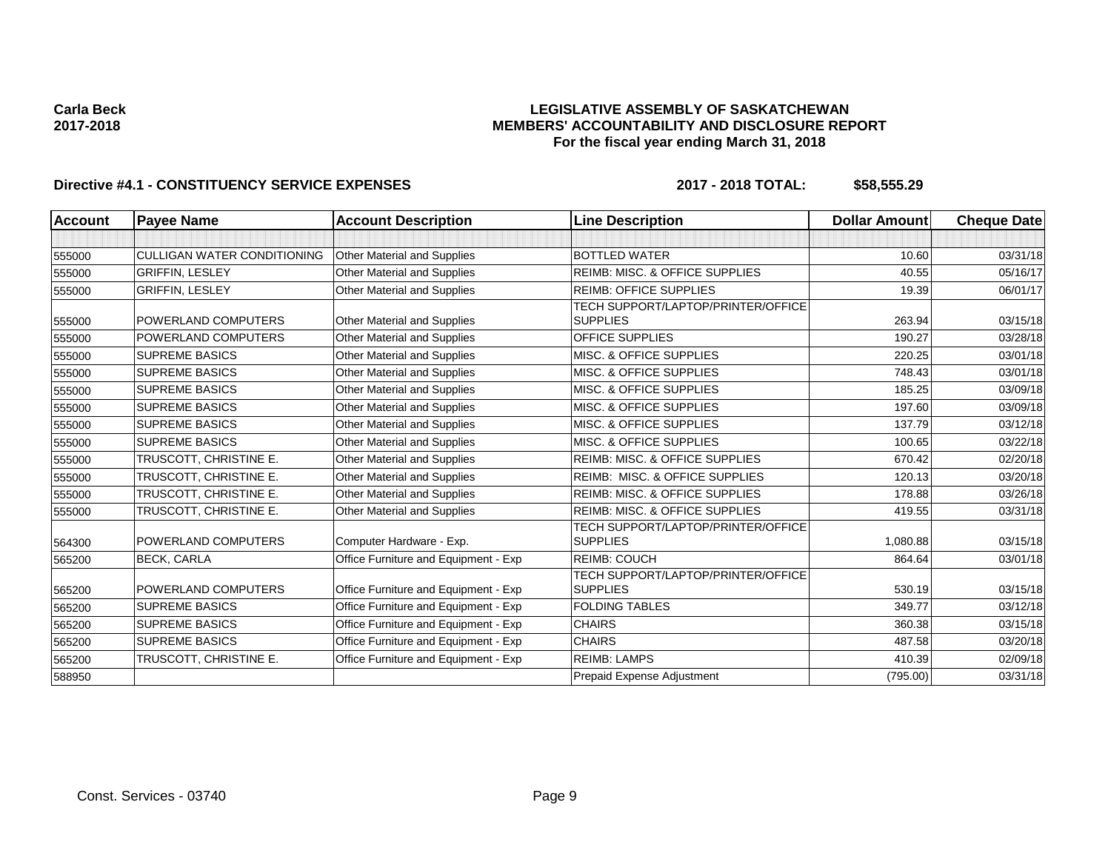## **LEGISLATIVE ASSEMBLY OF SASKATCHEWAN MEMBERS' ACCOUNTABILITY AND DISCLOSURE REPORT For the fiscal year ending March 31, 2018**

| <b>Account</b> | <b>Payee Name</b>                  | <b>Account Description</b>           | <b>Line Description</b>                                      | <b>Dollar Amount</b> | <b>Cheque Date</b> |
|----------------|------------------------------------|--------------------------------------|--------------------------------------------------------------|----------------------|--------------------|
|                |                                    |                                      |                                                              |                      |                    |
| 555000         | <b>CULLIGAN WATER CONDITIONING</b> | Other Material and Supplies          | <b>BOTTLED WATER</b>                                         | 10.60                | 03/31/18           |
| 555000         | <b>GRIFFIN, LESLEY</b>             | Other Material and Supplies          | <b>REIMB: MISC. &amp; OFFICE SUPPLIES</b>                    | 40.55                | 05/16/17           |
| 555000         | <b>GRIFFIN, LESLEY</b>             | Other Material and Supplies          | <b>REIMB: OFFICE SUPPLIES</b>                                | 19.39                | 06/01/17           |
| 555000         | POWERLAND COMPUTERS                | <b>Other Material and Supplies</b>   | TECH SUPPORT/LAPTOP/PRINTER/OFFICE<br><b>SUPPLIES</b>        | 263.94               | 03/15/18           |
| 555000         | POWERLAND COMPUTERS                | Other Material and Supplies          | <b>OFFICE SUPPLIES</b>                                       | 190.27               | 03/28/18           |
| 555000         | <b>SUPREME BASICS</b>              | <b>Other Material and Supplies</b>   | MISC. & OFFICE SUPPLIES                                      | 220.25               | 03/01/18           |
| 555000         | <b>SUPREME BASICS</b>              | Other Material and Supplies          | MISC. & OFFICE SUPPLIES                                      | 748.43               | 03/01/18           |
| 555000         | <b>SUPREME BASICS</b>              | <b>Other Material and Supplies</b>   | MISC. & OFFICE SUPPLIES                                      | 185.25               | 03/09/18           |
| 555000         | <b>SUPREME BASICS</b>              | <b>Other Material and Supplies</b>   | MISC. & OFFICE SUPPLIES                                      | 197.60               | 03/09/18           |
| 555000         | <b>SUPREME BASICS</b>              | Other Material and Supplies          | MISC. & OFFICE SUPPLIES                                      | 137.79               | 03/12/18           |
| 555000         | <b>SUPREME BASICS</b>              | <b>Other Material and Supplies</b>   | MISC. & OFFICE SUPPLIES                                      | 100.65               | 03/22/18           |
| 555000         | TRUSCOTT, CHRISTINE E.             | <b>Other Material and Supplies</b>   | <b>REIMB: MISC. &amp; OFFICE SUPPLIES</b>                    | 670.42               | 02/20/18           |
| 555000         | TRUSCOTT, CHRISTINE E.             | Other Material and Supplies          | REIMB: MISC. & OFFICE SUPPLIES                               | 120.13               | 03/20/18           |
| 555000         | TRUSCOTT, CHRISTINE E.             | <b>Other Material and Supplies</b>   | REIMB: MISC. & OFFICE SUPPLIES                               | 178.88               | 03/26/18           |
| 555000         | TRUSCOTT, CHRISTINE E.             | Other Material and Supplies          | <b>REIMB: MISC. &amp; OFFICE SUPPLIES</b>                    | 419.55               | 03/31/18           |
| 564300         | POWERLAND COMPUTERS                | Computer Hardware - Exp.             | TECH SUPPORT/LAPTOP/PRINTER/OFFICE<br><b>SUPPLIES</b>        | 1,080.88             | 03/15/18           |
| 565200         | <b>BECK, CARLA</b>                 | Office Furniture and Equipment - Exp | <b>REIMB: COUCH</b>                                          | 864.64               | 03/01/18           |
| 565200         | POWERLAND COMPUTERS                | Office Furniture and Equipment - Exp | <b>TECH SUPPORT/LAPTOP/PRINTER/OFFICE</b><br><b>SUPPLIES</b> | 530.19               | 03/15/18           |
| 565200         | <b>SUPREME BASICS</b>              | Office Furniture and Equipment - Exp | <b>FOLDING TABLES</b>                                        | 349.77               | 03/12/18           |
| 565200         | <b>SUPREME BASICS</b>              | Office Furniture and Equipment - Exp | <b>CHAIRS</b>                                                | 360.38               | 03/15/18           |
| 565200         | <b>SUPREME BASICS</b>              | Office Furniture and Equipment - Exp | <b>CHAIRS</b>                                                | 487.58               | 03/20/18           |
| 565200         | TRUSCOTT, CHRISTINE E.             | Office Furniture and Equipment - Exp | <b>REIMB: LAMPS</b>                                          | 410.39               | 02/09/18           |
| 588950         |                                    |                                      | Prepaid Expense Adjustment                                   | (795.00)             | 03/31/18           |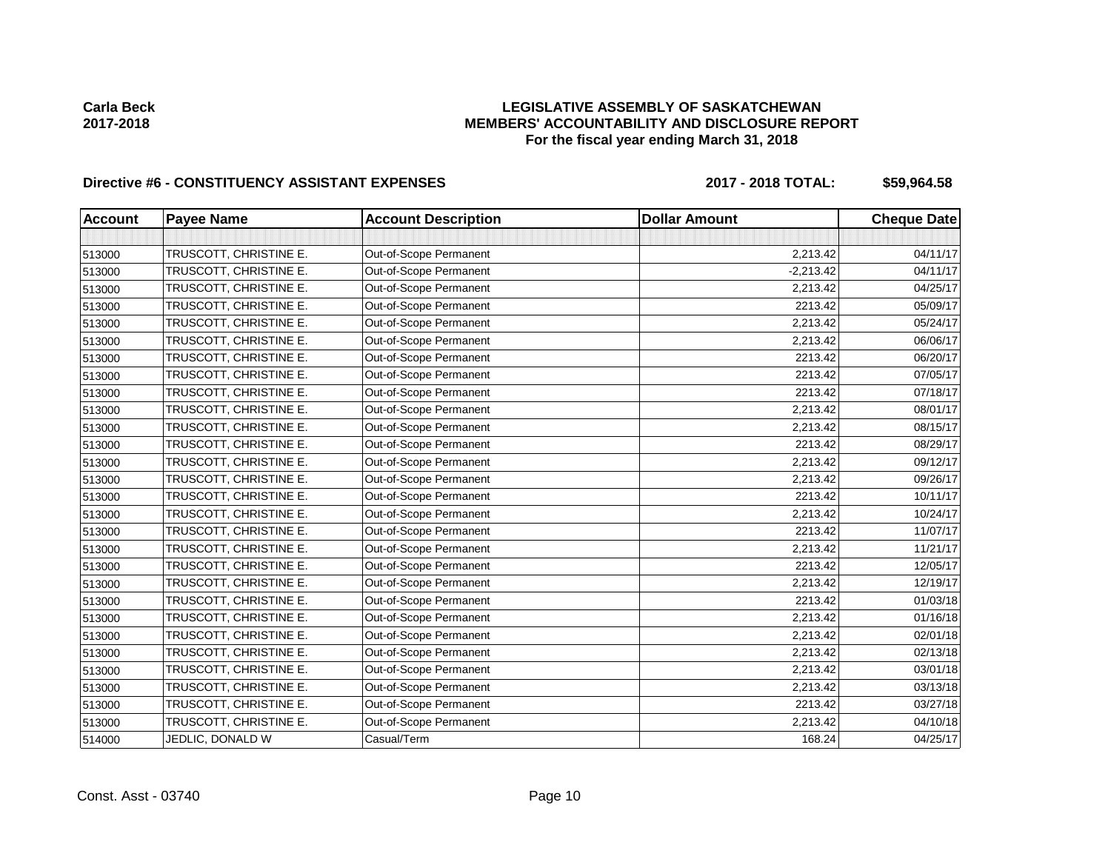## **LEGISLATIVE ASSEMBLY OF SASKATCHEWAN MEMBERS' ACCOUNTABILITY AND DISCLOSURE REPORT For the fiscal year ending March 31, 2018**

## Directive #6 - CONSTITUENCY ASSISTANT EXPENSES 2017 - 2018 TOTAL: \$59,964.58

| <b>Account</b> | <b>Payee Name</b>      | <b>Account Description</b> | <b>Dollar Amount</b> | <b>Cheque Date</b> |
|----------------|------------------------|----------------------------|----------------------|--------------------|
|                |                        |                            |                      |                    |
| 513000         | TRUSCOTT, CHRISTINE E. | Out-of-Scope Permanent     | 2,213.42             | 04/11/17           |
| 513000         | TRUSCOTT, CHRISTINE E. | Out-of-Scope Permanent     | $-2,213.42$          | 04/11/17           |
| 513000         | TRUSCOTT, CHRISTINE E. | Out-of-Scope Permanent     | 2,213.42             | 04/25/17           |
| 513000         | TRUSCOTT, CHRISTINE E. | Out-of-Scope Permanent     | 2213.42              | 05/09/17           |
| 513000         | TRUSCOTT, CHRISTINE E. | Out-of-Scope Permanent     | 2,213.42             | 05/24/17           |
| 513000         | TRUSCOTT, CHRISTINE E. | Out-of-Scope Permanent     | 2,213.42             | 06/06/17           |
| 513000         | TRUSCOTT, CHRISTINE E. | Out-of-Scope Permanent     | 2213.42              | 06/20/17           |
| 513000         | TRUSCOTT, CHRISTINE E. | Out-of-Scope Permanent     | 2213.42              | 07/05/17           |
| 513000         | TRUSCOTT, CHRISTINE E. | Out-of-Scope Permanent     | 2213.42              | 07/18/17           |
| 513000         | TRUSCOTT, CHRISTINE E. | Out-of-Scope Permanent     | 2,213.42             | 08/01/17           |
| 513000         | TRUSCOTT, CHRISTINE E. | Out-of-Scope Permanent     | 2,213.42             | 08/15/17           |
| 513000         | TRUSCOTT, CHRISTINE E. | Out-of-Scope Permanent     | 2213.42              | 08/29/17           |
| 513000         | TRUSCOTT, CHRISTINE E. | Out-of-Scope Permanent     | 2,213.42             | 09/12/17           |
| 513000         | TRUSCOTT, CHRISTINE E. | Out-of-Scope Permanent     | 2,213.42             | 09/26/17           |
| 513000         | TRUSCOTT, CHRISTINE E. | Out-of-Scope Permanent     | 2213.42              | 10/11/17           |
| 513000         | TRUSCOTT, CHRISTINE E. | Out-of-Scope Permanent     | 2,213.42             | 10/24/17           |
| 513000         | TRUSCOTT, CHRISTINE E. | Out-of-Scope Permanent     | 2213.42              | 11/07/17           |
| 513000         | TRUSCOTT, CHRISTINE E. | Out-of-Scope Permanent     | 2,213.42             | 11/21/17           |
| 513000         | TRUSCOTT, CHRISTINE E. | Out-of-Scope Permanent     | 2213.42              | 12/05/17           |
| 513000         | TRUSCOTT, CHRISTINE E. | Out-of-Scope Permanent     | 2,213.42             | 12/19/17           |
| 513000         | TRUSCOTT, CHRISTINE E. | Out-of-Scope Permanent     | 2213.42              | 01/03/18           |
| 513000         | TRUSCOTT, CHRISTINE E. | Out-of-Scope Permanent     | 2,213.42             | 01/16/18           |
| 513000         | TRUSCOTT, CHRISTINE E. | Out-of-Scope Permanent     | 2,213.42             | 02/01/18           |
| 513000         | TRUSCOTT, CHRISTINE E. | Out-of-Scope Permanent     | 2,213.42             | 02/13/18           |
| 513000         | TRUSCOTT, CHRISTINE E. | Out-of-Scope Permanent     | 2,213.42             | 03/01/18           |
| 513000         | TRUSCOTT, CHRISTINE E. | Out-of-Scope Permanent     | 2,213.42             | 03/13/18           |
| 513000         | TRUSCOTT, CHRISTINE E. | Out-of-Scope Permanent     | 2213.42              | 03/27/18           |
| 513000         | TRUSCOTT, CHRISTINE E. | Out-of-Scope Permanent     | 2,213.42             | 04/10/18           |
| 514000         | JEDLIC, DONALD W       | Casual/Term                | 168.24               | 04/25/17           |